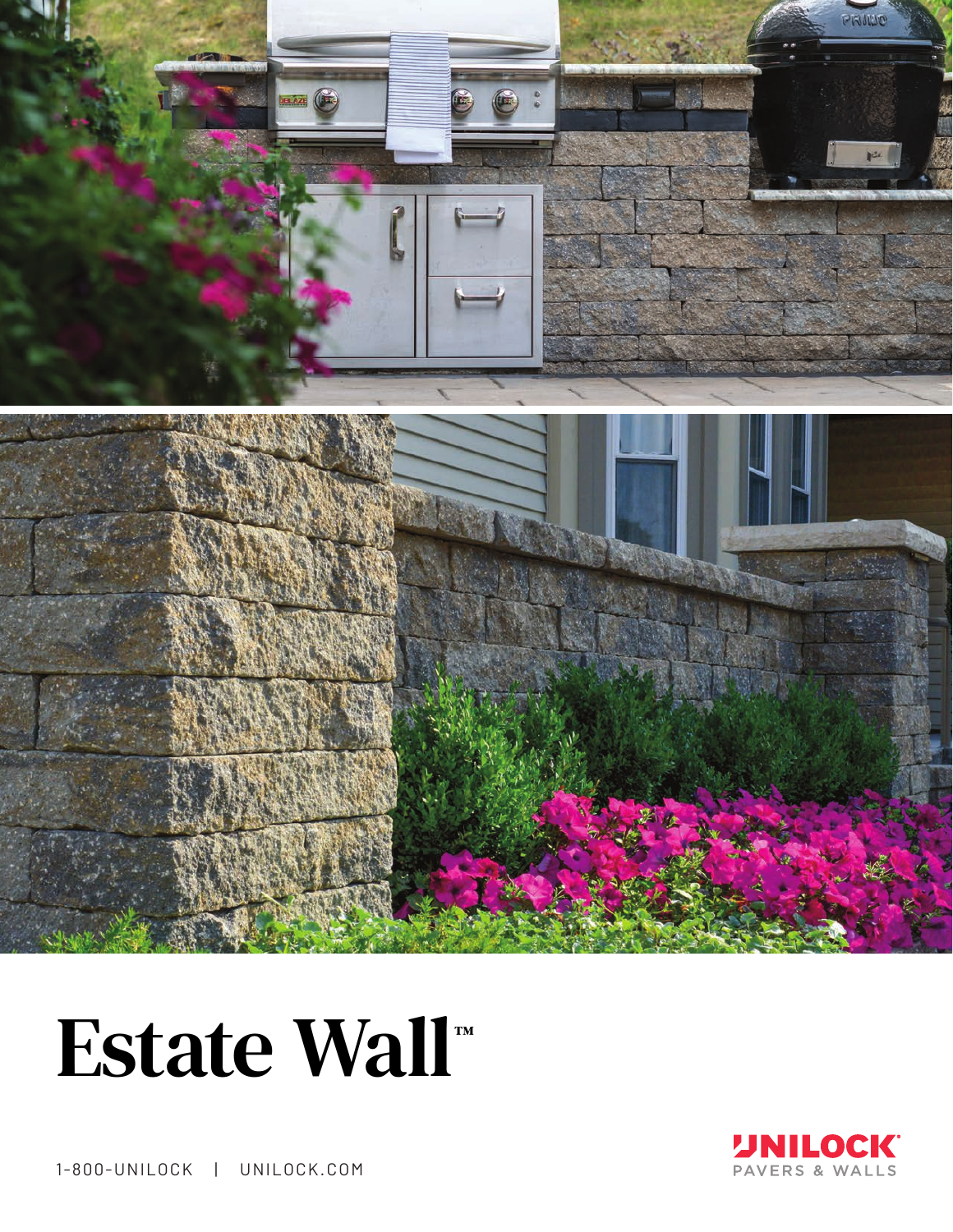

## Estate Wall™



1-800-UNILOCK | UNILOCK.COM